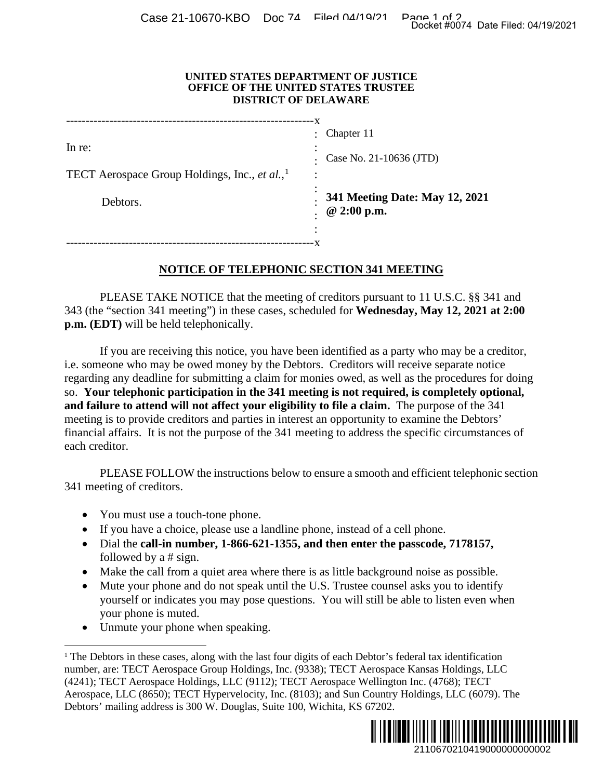## **UNITED STATES DEPARTMENT OF JUSTICE OFFICE OF THE UNITED STATES TRUSTEE DISTRICT OF DELAWARE**

|                                                           | ٠              | Chapter 11                     |
|-----------------------------------------------------------|----------------|--------------------------------|
| In re:                                                    | ٠<br>$\bullet$ |                                |
|                                                           |                | Case No. 21-10636 (JTD)        |
| TECT Aerospace Group Holdings, Inc., et al., <sup>1</sup> | ٠              |                                |
| Debtors.                                                  |                | 341 Meeting Date: May 12, 2021 |
|                                                           |                | @ 2:00 p.m.                    |
|                                                           | ٠              |                                |
|                                                           |                |                                |

## **NOTICE OF TELEPHONIC SECTION 341 MEETING**

PLEASE TAKE NOTICE that the meeting of creditors pursuant to 11 U.S.C. §§ 341 and 343 (the "section 341 meeting") in these cases, scheduled for **Wednesday, May 12, 2021 at 2:00 p.m. (EDT)** will be held telephonically.

If you are receiving this notice, you have been identified as a party who may be a creditor, i.e. someone who may be owed money by the Debtors. Creditors will receive separate notice regarding any deadline for submitting a claim for monies owed, as well as the procedures for doing so. **Your telephonic participation in the 341 meeting is not required, is completely optional, and failure to attend will not affect your eligibility to file a claim.** The purpose of the 341 meeting is to provide creditors and parties in interest an opportunity to examine the Debtors' financial affairs. It is not the purpose of the 341 meeting to address the specific circumstances of each creditor. 2110670210419000000000002 Docket #0074 Date Filed: 04/19/2021

PLEASE FOLLOW the instructions below to ensure a smooth and efficient telephonic section 341 meeting of creditors.

- You must use a touch-tone phone.
- If you have a choice, please use a landline phone, instead of a cell phone.
- Dial the **call-in number, 1-866-621-1355, and then enter the passcode, 7178157,**  followed by a # sign.
- Make the call from a quiet area where there is as little background noise as possible.
- Mute your phone and do not speak until the U.S. Trustee counsel asks you to identify yourself or indicates you may pose questions. You will still be able to listen even when your phone is muted.
- Unmute your phone when speaking.

<span id="page-0-0"></span><sup>&</sup>lt;sup>1</sup> The Debtors in these cases, along with the last four digits of each Debtor's federal tax identification number, are: TECT Aerospace Group Holdings, Inc. (9338); TECT Aerospace Kansas Holdings, LLC (4241); TECT Aerospace Holdings, LLC (9112); TECT Aerospace Wellington Inc. (4768); TECT Aerospace, LLC (8650); TECT Hypervelocity, Inc. (8103); and Sun Country Holdings, LLC (6079). The Debtors' mailing address is 300 W. Douglas, Suite 100, Wichita, KS 67202.